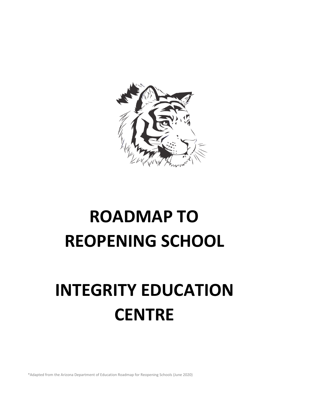

# **ROADMAP TO REOPENING SCHOOL**

# **INTEGRITY EDUCATION CENTRE**

\*Adapted from the Arizona Department of Education Roadmap for Reopening Schools (June 2020)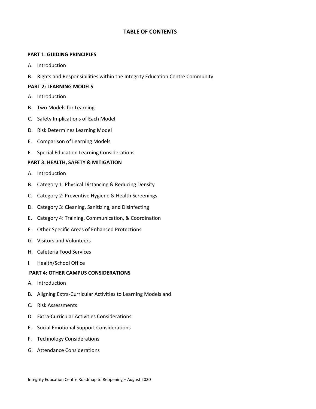# **TABLE OF CONTENTS**

### **PART 1: GUIDING PRINCIPLES**

- A. Introduction
- B. Rights and Responsibilities within the Integrity Education Centre Community

## **PART 2: LEARNING MODELS**

- A. Introduction
- B. Two Models for Learning
- C. Safety Implications of Each Model
- D. Risk Determines Learning Model
- E. Comparison of Learning Models
- F. Special Education Learning Considerations

## **PART 3: HEALTH, SAFETY & MITIGATION**

- A. Introduction
- B. Category 1: Physical Distancing & Reducing Density
- C. Category 2: Preventive Hygiene & Health Screenings
- D. Category 3: Cleaning, Sanitizing, and Disinfecting
- E. Category 4: Training, Communication, & Coordination
- F. Other Specific Areas of Enhanced Protections
- G. Visitors and Volunteers
- H. Cafeteria Food Services
- I. Health/School Office

## **PART 4: OTHER CAMPUS CONSIDERATIONS**

- A. Introduction
- B. Aligning Extra-Curricular Activities to Learning Models and
- C. Risk Assessments
- D. Extra-Curricular Activities Considerations
- E. Social Emotional Support Considerations
- F. Technology Considerations
- G. Attendance Considerations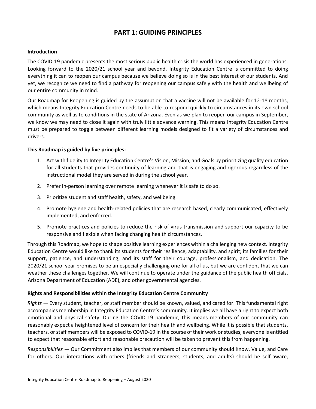# **PART 1: GUIDING PRINCIPLES**

### **Introduction**

The COVID-19 pandemic presents the most serious public health crisis the world has experienced in generations. Looking forward to the 2020/21 school year and beyond, Integrity Education Centre is committed to doing everything it can to reopen our campus because we believe doing so is in the best interest of our students. And yet, we recognize we need to find a pathway for reopening our campus safely with the health and wellbeing of our entire community in mind.

Our Roadmap for Reopening is guided by the assumption that a vaccine will not be available for 12-18 months, which means Integrity Education Centre needs to be able to respond quickly to circumstances in its own school community as well as to conditions in the state of Arizona. Even as we plan to reopen our campus in September, we know we may need to close it again with truly little advance warning. This means Integrity Education Centre must be prepared to toggle between different learning models designed to fit a variety of circumstances and drivers.

# **This Roadmap is guided by five principles:**

- 1. Act with fidelity to Integrity Education Centre's Vision, Mission, and Goals by prioritizing quality education for all students that provides continuity of learning and that is engaging and rigorous regardless of the instructional model they are served in during the school year.
- 2. Prefer in-person learning over remote learning whenever it is safe to do so.
- 3. Prioritize student and staff health, safety, and wellbeing.
- 4. Promote hygiene and health-related policies that are research based, clearly communicated, effectively implemented, and enforced.
- 5. Promote practices and policies to reduce the risk of virus transmission and support our capacity to be responsive and flexible when facing changing health circumstances.

Through this Roadmap, we hope to shape positive learning experiences within a challenging new context. Integrity Education Centre would like to thank its students for their resilience, adaptability, and spirit; its families for their support, patience, and understanding; and its staff for their courage, professionalism, and dedication. The 2020/21 school year promises to be an especially challenging one for all of us, but we are confident that we can weather these challenges together. We will continue to operate under the guidance of the public health officials, Arizona Department of Education (ADE), and other governmental agencies.

# **Rights and Responsibilities within the Integrity Education Centre Community**

*Rights* — Every student, teacher, or staff member should be known, valued, and cared for. This fundamental right accompanies membership in Integrity Education Centre's community. It implies we all have a right to expect both emotional and physical safety. During the COVID-19 pandemic, this means members of our community can reasonably expect a heightened level of concern for their health and wellbeing. While it is possible that students, teachers, or staff members will be exposed to COVID-19 in the course of their work or studies, everyone is entitled to expect that reasonable effort and reasonable precaution will be taken to prevent this from happening.

*Responsibilities* — Our Commitment also implies that members of our community should Know, Value, and Care for others. Our interactions with others (friends and strangers, students, and adults) should be self-aware,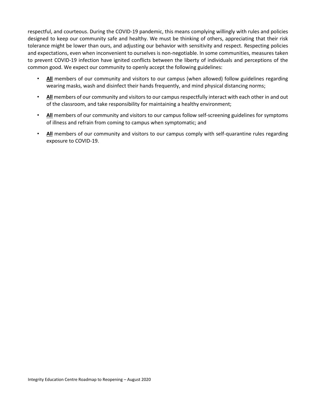respectful, and courteous. During the COVID-19 pandemic, this means complying willingly with rules and policies designed to keep our community safe and healthy. We must be thinking of others, appreciating that their risk tolerance might be lower than ours, and adjusting our behavior with sensitivity and respect. Respecting policies and expectations, even when inconvenient to ourselves is non-negotiable. In some communities, measures taken to prevent COVID-19 infection have ignited conflicts between the liberty of individuals and perceptions of the common good. We expect our community to openly accept the following guidelines:

- **All** members of our community and visitors to our campus (when allowed) follow guidelines regarding wearing masks, wash and disinfect their hands frequently, and mind physical distancing norms;
- **All** members of our community and visitors to our campus respectfully interact with each other in and out of the classroom, and take responsibility for maintaining a healthy environment;
- **All** members of our community and visitors to our campus follow self-screening guidelines for symptoms of illness and refrain from coming to campus when symptomatic; and
- **All** members of our community and visitors to our campus comply with self-quarantine rules regarding exposure to COVID-19.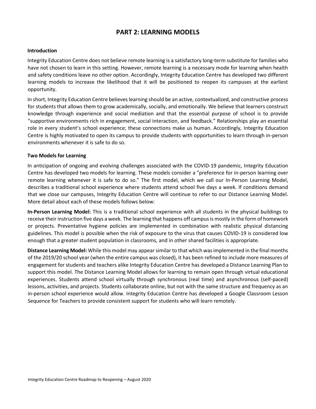# **PART 2: LEARNING MODELS**

#### **Introduction**

Integrity Education Centre does not believe remote learning is a satisfactory long-term substitute for families who have not chosen to learn in this setting. However, remote learning is a necessary mode for learning when health and safety conditions leave no other option. Accordingly, Integrity Education Centre has developed two different learning models to increase the likelihood that it will be positioned to reopen its campuses at the earliest opportunity.

In short, Integrity Education Centre believes learning should be an active, contextualized, and constructive process for students that allows them to grow academically, socially, and emotionally. We believe that learners construct knowledge through experience and social mediation and that the essential purpose of school is to provide "supportive environments rich in engagement, social interaction, and feedback." Relationships play an essential role in every student's school experience; these connections make us human. Accordingly, Integrity Education Centre is highly motivated to open its campus to provide students with opportunities to learn through in-person environments whenever it is safe to do so.

#### **Two Models for Learning**

In anticipation of ongoing and evolving challenges associated with the COVID-19 pandemic, Integrity Education Centre has developed two models for learning. These models consider a "preference for in-person learning over remote learning whenever it is safe to do so." The first model, which we call our In-Person Learning Model, describes a traditional school experience where students attend school five days a week. If conditions demand that we close our campuses, Integrity Education Centre will continue to refer to our Distance Learning Model. More detail about each of these models follows below:

**In-Person Learning Model:** This is a traditional school experience with all students in the physical buildings to receive their instruction five days a week. The learning that happens off campus is mostly in the form of homework or projects. Preventative hygiene policies are implemented in combination with realistic physical distancing guidelines. This model is possible when the risk of exposure to the virus that causes COVID-19 is considered low enough that a greater student population in classrooms, and in other shared facilities is appropriate.

**Distance Learning Model:** While this model may appear similar to that which was implemented in the final months of the 2019/20 school year (when the entire campus was closed), it has been refined to include more measures of engagement for students and teachers alike Integrity Education Centre has developed a Distance Learning Plan to support this model. The Distance Learning Model allows for learning to remain open through virtual educational experiences. Students attend school virtually through synchronous (real time) and asynchronous (self-paced) lessons, activities, and projects. Students collaborate online, but not with the same structure and frequency as an in-person school experience would allow. Integrity Education Centre has developed a Google Classroom Lesson Sequence for Teachers to provide consistent support for students who will learn remotely.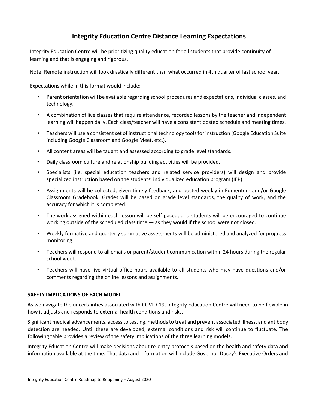# **Integrity Education Centre Distance Learning Expectations**

Integrity Education Centre will be prioritizing quality education for all students that provide continuity of learning and that is engaging and rigorous.

Note: Remote instruction will look drastically different than what occurred in 4th quarter of last school year.

Expectations while in this format would include:

- Parent orientation will be available regarding school procedures and expectations, individual classes, and technology.
- A combination of live classes that require attendance, recorded lessons by the teacher and independent learning will happen daily. Each class/teacher will have a consistent posted schedule and meeting times.
- Teachers will use a consistent set of instructional technology tools for instruction (Google Education Suite including Google Classroom and Google Meet, etc.).
- All content areas will be taught and assessed according to grade level standards.
- Daily classroom culture and relationship building activities will be provided.
- Specialists (i.e. special education teachers and related service providers) will design and provide specialized instruction based on the students' individualized education program (IEP).
- Assignments will be collected, given timely feedback, and posted weekly in Edmentum and/or Google Classroom Gradebook. Grades will be based on grade level standards, the quality of work, and the accuracy for which it is completed.
- The work assigned within each lesson will be self-paced, and students will be encouraged to continue working outside of the scheduled class time — as they would if the school were not closed.
- Weekly formative and quarterly summative assessments will be administered and analyzed for progress monitoring.
- Teachers will respond to all emails or parent/student communication within 24 hours during the regular school week.
- Teachers will have live virtual office hours available to all students who may have questions and/or comments regarding the online lessons and assignments.

# **SAFETY IMPLICATIONS OF EACH MODEL**

As we navigate the uncertainties associated with COVID-19, Integrity Education Centre will need to be flexible in how it adjusts and responds to external health conditions and risks.

Significant medical advancements, access to testing, methods to treat and prevent associated illness, and antibody detection are needed. Until these are developed, external conditions and risk will continue to fluctuate. The following table provides a review of the safety implications of the three learning models.

Integrity Education Centre will make decisions about re-entry protocols based on the health and safety data and information available at the time. That data and information will include Governor Ducey's Executive Orders and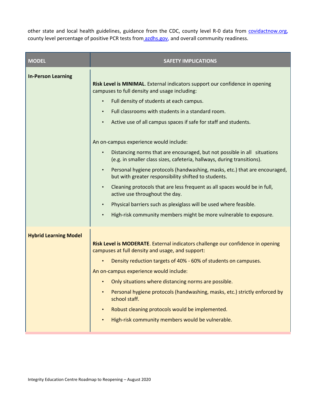other state and local health guidelines, guidance fro[m](https://covidactnow.org/us/az?s=699115) the CDC, county level R-0 data from [covidactnow.org,](https://covidactnow.org/us/az?s=699115) county level percentage of positive PCR tests fro[m](https://www.azdhs.gov/) [azdhs.gov,](https://www.azdhs.gov/) and overall community readiness.

| <b>MODEL</b>                 | <b>SAFETY IMPLICATIONS</b>                                                                                                                                                                                                                                                                                                                                                                                                                                                                                                                                                                                                                                                                                                                                                                                                                                                                                                                            |
|------------------------------|-------------------------------------------------------------------------------------------------------------------------------------------------------------------------------------------------------------------------------------------------------------------------------------------------------------------------------------------------------------------------------------------------------------------------------------------------------------------------------------------------------------------------------------------------------------------------------------------------------------------------------------------------------------------------------------------------------------------------------------------------------------------------------------------------------------------------------------------------------------------------------------------------------------------------------------------------------|
| <b>In-Person Learning</b>    | Risk Level is MINIMAL. External indicators support our confidence in opening<br>campuses to full density and usage including:<br>Full density of students at each campus.<br>Full classrooms with students in a standard room.<br>$\bullet$<br>Active use of all campus spaces if safe for staff and students.<br>$\bullet$<br>An on-campus experience would include:<br>Distancing norms that are encouraged, but not possible in all situations<br>(e.g. in smaller class sizes, cafeteria, hallways, during transitions).<br>Personal hygiene protocols (handwashing, masks, etc.) that are encouraged,<br>$\bullet$<br>but with greater responsibility shifted to students.<br>Cleaning protocols that are less frequent as all spaces would be in full,<br>active use throughout the day.<br>Physical barriers such as plexiglass will be used where feasible.<br>High-risk community members might be more vulnerable to exposure.<br>$\bullet$ |
| <b>Hybrid Learning Model</b> | Risk Level is MODERATE. External indicators challenge our confidence in opening<br>campuses at full density and usage, and support:<br>Density reduction targets of 40% - 60% of students on campuses.<br>An on-campus experience would include:<br>Only situations where distancing norms are possible.<br>Personal hygiene protocols (handwashing, masks, etc.) strictly enforced by<br>school staff.<br>Robust cleaning protocols would be implemented.<br>High-risk community members would be vulnerable.                                                                                                                                                                                                                                                                                                                                                                                                                                        |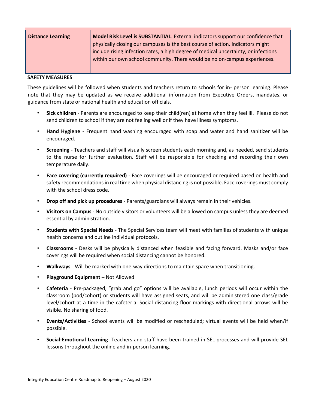| <b>Distance Learning</b> | Model Risk Level is SUBSTANTIAL. External indicators support our confidence that    |
|--------------------------|-------------------------------------------------------------------------------------|
|                          | physically closing our campuses is the best course of action. Indicators might      |
|                          | include rising infection rates, a high degree of medical uncertainty, or infections |
|                          | within our own school community. There would be no on-campus experiences.           |
|                          |                                                                                     |

### **SAFETY MEASURES**

These guidelines will be followed when students and teachers return to schools for in- person learning. Please note that they may be updated as we receive additional information from Executive Orders, mandates, or guidance from state or national health and education officials.

- **Sick children**  Parents are encouraged to keep their child(ren) at home when they feel ill. Please do not send children to school if they are not feeling well or if they have illness symptoms.
- **Hand Hygiene**  Frequent hand washing encouraged with soap and water and hand sanitizer will be encouraged.
- **Screening**  Teachers and staff will visually screen students each morning and, as needed, send students to the nurse for further evaluation. Staff will be responsible for checking and recording their own temperature daily.
- **Face covering (currently required)**  Face coverings will be encouraged or required based on health and safety recommendations in real time when physical distancing is not possible. Face coverings must comply with the school dress code.
- **Drop off and pick up procedures**  Parents/guardians will always remain in their vehicles.
- **Visitors on Campus**  No outside visitors or volunteers will be allowed on campus unless they are deemed essential by administration.
- **Students with Special Needs**  The Special Services team will meet with families of students with unique health concerns and outline individual protocols.
- **Classrooms**  Desks will be physically distanced when feasible and facing forward. Masks and/or face coverings will be required when social distancing cannot be honored.
- **Walkways**  Will be marked with one-way directions to maintain space when transitioning.
- **Playground Equipment**  Not Allowed
- **Cafeteria**  Pre-packaged, "grab and go" options will be available, lunch periods will occur within the classroom (pod/cohort) or students will have assigned seats, and will be administered one class/grade level/cohort at a time in the cafeteria. Social distancing floor markings with directional arrows will be visible. No sharing of food.
- **Events/Activities**  School events will be modified or rescheduled; virtual events will be held when/if possible.
- **Social-Emotional Learning** Teachers and staff have been trained in SEL processes and will provide SEL lessons throughout the online and in-person learning.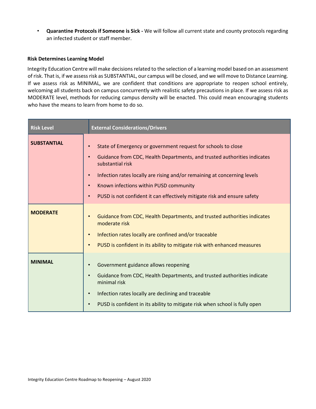• **Quarantine Protocols if Someone is Sick -** We will follow all current state and county protocols regarding an infected student or staff member.

## **Risk Determines Learning Model**

Integrity Education Centre will make decisions related to the selection of a learning model based on an assessment of risk. That is, if we assess risk as SUBSTANTIAL, our campus will be closed, and we will move to Distance Learning. If we assess risk as MINIMAL, we are confident that conditions are appropriate to reopen school entirely, welcoming all students back on campus concurrently with realistic safety precautions in place. If we assess risk as MODERATE level, methods for reducing campus density will be enacted. This could mean encouraging students who have the means to learn from home to do so.

| <b>Risk Level</b>  | <b>External Considerations/Drivers</b>                                                                                                                                                                                                                                                                                                                                                                                           |
|--------------------|----------------------------------------------------------------------------------------------------------------------------------------------------------------------------------------------------------------------------------------------------------------------------------------------------------------------------------------------------------------------------------------------------------------------------------|
| <b>SUBSTANTIAL</b> | State of Emergency or government request for schools to close<br>$\bullet$<br>Guidance from CDC, Health Departments, and trusted authorities indicates<br>$\bullet$<br>substantial risk<br>Infection rates locally are rising and/or remaining at concerning levels<br>$\bullet$<br>Known infections within PUSD community<br>$\bullet$<br>PUSD is not confident it can effectively mitigate risk and ensure safety<br>$\bullet$ |
| <b>MODERATE</b>    | Guidance from CDC, Health Departments, and trusted authorities indicates<br>$\bullet$<br>moderate risk<br>Infection rates locally are confined and/or traceable<br>$\bullet$<br>PUSD is confident in its ability to mitigate risk with enhanced measures<br>$\bullet$                                                                                                                                                            |
| <b>MINIMAL</b>     | Government guidance allows reopening<br>Guidance from CDC, Health Departments, and trusted authorities indicate<br>$\bullet$<br>minimal risk<br>Infection rates locally are declining and traceable<br>$\bullet$<br>PUSD is confident in its ability to mitigate risk when school is fully open<br>$\bullet$                                                                                                                     |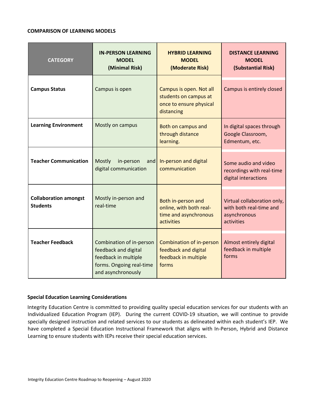## **COMPARISON OF LEARNING MODELS**

| <b>CATEGORY</b>                                 | <b>IN-PERSON LEARNING</b><br><b>MODEL</b><br>(Minimal Risk)                                                                | <b>HYBRID LEARNING</b><br><b>MODEL</b><br>(Moderate Risk)                                 | <b>DISTANCE LEARNING</b><br><b>MODEL</b><br>(Substantial Risk)                       |
|-------------------------------------------------|----------------------------------------------------------------------------------------------------------------------------|-------------------------------------------------------------------------------------------|--------------------------------------------------------------------------------------|
| <b>Campus Status</b>                            | Campus is open                                                                                                             | Campus is open. Not all<br>students on campus at<br>once to ensure physical<br>distancing | Campus is entirely closed                                                            |
| <b>Learning Environment</b>                     | Mostly on campus                                                                                                           | Both on campus and<br>through distance<br>learning.                                       | In digital spaces through<br>Google Classroom,<br>Edmentum, etc.                     |
| <b>Teacher Communication</b>                    | <b>Mostly</b><br>in-person<br>and<br>digital communication                                                                 | In-person and digital<br>communication                                                    | Some audio and video<br>recordings with real-time<br>digital interactions            |
| <b>Collaboration amongst</b><br><b>Students</b> | Mostly in-person and<br>real-time                                                                                          | Both in-person and<br>online, with both real-<br>time and asynchronous<br>activities      | Virtual collaboration only,<br>with both real-time and<br>asynchronous<br>activities |
| <b>Teacher Feedback</b>                         | Combination of in-person<br>feedback and digital<br>feedback in multiple<br>forms. Ongoing real-time<br>and asynchronously | <b>Combination of in-person</b><br>feedback and digital<br>feedback in multiple<br>forms  | Almost entirely digital<br>feedback in multiple<br>forms                             |

# **Special Education Learning Considerations**

Integrity Education Centre is committed to providing quality special education services for our students with an Individualized Education Program (IEP). During the current COVID-19 situation, we will continue to provide specially designed instruction and related services to our students as delineated within each student's IEP. We have completed a Special Education Instructional Framework that aligns with In-Person, Hybrid and Distance Learning to ensure students with IEPs receive their special education services.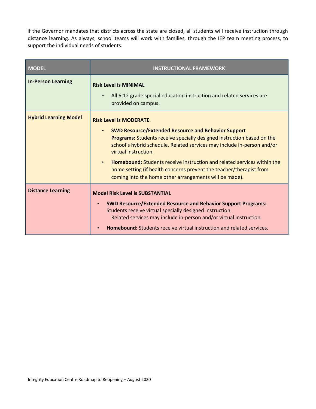If the Governor mandates that districts across the state are closed, all students will receive instruction through distance learning. As always, school teams will work with families, through the IEP team meeting process, to support the individual needs of students.

| <b>MODEL</b>                 | <b>INSTRUCTIONAL FRAMEWORK</b>                                                                                                                                                                                                                                                                                                                                                                                                                                                               |
|------------------------------|----------------------------------------------------------------------------------------------------------------------------------------------------------------------------------------------------------------------------------------------------------------------------------------------------------------------------------------------------------------------------------------------------------------------------------------------------------------------------------------------|
| <b>In-Person Learning</b>    | <b>Risk Level is MINIMAL</b><br>All 6-12 grade special education instruction and related services are<br>provided on campus.                                                                                                                                                                                                                                                                                                                                                                 |
| <b>Hybrid Learning Model</b> | <b>Risk Level is MODERATE.</b><br><b>SWD Resource/Extended Resource and Behavior Support</b><br>Programs: Students receive specially designed instruction based on the<br>school's hybrid schedule. Related services may include in-person and/or<br>virtual instruction.<br><b>Homebound:</b> Students receive instruction and related services within the<br>home setting (if health concerns prevent the teacher/therapist from<br>coming into the home other arrangements will be made). |
| <b>Distance Learning</b>     | <b>Model Risk Level is SUBSTANTIAL</b><br><b>SWD Resource/Extended Resource and Behavior Support Programs:</b><br>$\bullet$<br>Students receive virtual specially designed instruction.<br>Related services may include in-person and/or virtual instruction.<br><b>Homebound:</b> Students receive virtual instruction and related services.                                                                                                                                                |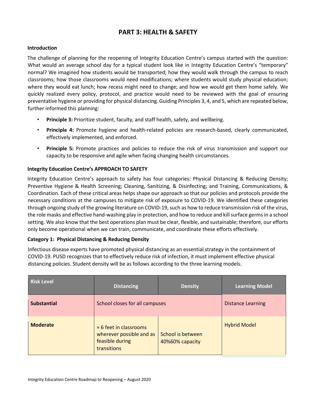# **PART 3: HEALTH & SAFETY**

# **Introduction**

The challenge of planning for the reopening of Integrity Education Centre's campus started with the question: What would an average school day for a typical student look like in Integrity Education Centre's "temporary" normal? We imagined how students would be transported; how they would walk through the campus to reach classrooms; how those classrooms would need modifications; where students would study physical education; where they would eat lunch; how recess might need to change; and how we would get them home safely. We quickly realized every policy, protocol, and practice would need to be reviewed with the goal of ensuring preventative hygiene or providing for physical distancing. Guiding Principles 3, 4, and 5, which are repeated below, further informed this planning:

- **Principle 3:** Prioritize student, faculty, and staff health, safety, and wellbeing.
- **Principle 4:** Promote hygiene and health-related policies are research-based, clearly communicated, effectively implemented, and enforced.
- **Principle 5:** Promote practices and policies to reduce the risk of virus transmission and support our capacity to be responsive and agile when facing changing health circumstances.

# **Integrity Education Centre's APPROACH TO SAFETY**

Integrity Education Centre's approach to safety has four categories: Physical Distancing & Reducing Density; Preventive Hygiene & Health Screening; Cleaning, Sanitizing, & Disinfecting; and Training, Communications, & Coordination. Each of these critical areas helps shape our approach so that our policies and protocols provide the necessary conditions at the campuses to mitigate risk of exposure to COVID-19. We identified these categories through ongoing study of the growing literature on COVID-19, such as how to reduce transmission risk of the virus, the role masks and effective hand-washing play in protection, and how to reduce and kill surface germs in a school setting. We also know that the best operations plan must be clear, flexible, and sustainable; therefore, our efforts only become operational when we can train, communicate, and coordinate these efforts effectively.

# **Category 1: Physical Distancing & Reducing Density**

Infectious disease experts have promoted physical distancing as an essential strategy in the containment of COVID-19. PUSD recognizes that to effectively reduce risk of infection, it must implement effective physical distancing policies. Student density will be as follows according to the three learning models.

| <b>Risk Level</b>  | <b>Distancing</b>                                                                            | <b>Density</b>                       | <b>Learning Model</b>    |
|--------------------|----------------------------------------------------------------------------------------------|--------------------------------------|--------------------------|
| <b>Substantial</b> | School closes for all campuses                                                               |                                      | <b>Distance Learning</b> |
| <b>Moderate</b>    | $\approx$ 6 feet in classrooms<br>wherever possible and as<br>feasible during<br>transitions | School is between<br>40%60% capacity | <b>Hybrid Model</b>      |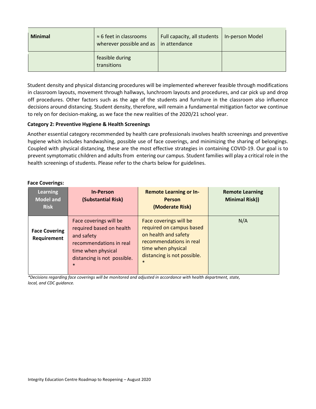| <b>Minimal</b> | $\approx$ 6 feet in classrooms<br>wherever possible and as $ $ in attendance | Full capacity, all students | In-person Model |
|----------------|------------------------------------------------------------------------------|-----------------------------|-----------------|
|                | feasible during<br>transitions                                               |                             |                 |

Student density and physical distancing procedures will be implemented wherever feasible through modifications in classroom layouts, movement through hallways, lunchroom layouts and procedures, and car pick up and drop off procedures. Other factors such as the age of the students and furniture in the classroom also influence decisions around distancing. Student density, therefore, will remain a fundamental mitigation factor we continue to rely on for decision-making, as we face the new realities of the 2020/21 school year.

# **Category 2: Preventive Hygiene & Health Screenings**

Another essential category recommended by health care professionals involves health screenings and preventive hygiene which includes handwashing, possible use of face coverings, and minimizing the sharing of belongings. Coupled with physical distancing, these are the most effective strategies in containing COVID-19. Our goal is to prevent symptomatic children and adults from entering our campus. Student families will play a critical role in the health screenings of students. Please refer to the charts below for guidelines.

# **Face Coverings:**

| <b>Learning</b><br><b>Model and</b><br><b>Risk</b> | <b>In-Person</b><br>(Substantial Risk)                                                                                                                     | <b>Remote Learning or In-</b><br><b>Person</b><br>(Moderate Risk)                                                                                                    | <b>Remote Learning</b><br><b>Minimal Risk))</b> |
|----------------------------------------------------|------------------------------------------------------------------------------------------------------------------------------------------------------------|----------------------------------------------------------------------------------------------------------------------------------------------------------------------|-------------------------------------------------|
| <b>Face Covering</b><br>Requirement                | Face coverings will be<br>required based on health<br>and safety<br>recommendations in real<br>time when physical<br>distancing is not possible.<br>$\ast$ | Face coverings will be<br>required on campus based<br>on health and safety<br>recommendations in real<br>time when physical<br>distancing is not possible.<br>$\ast$ | N/A                                             |

*\*Decisions regarding face coverings will be monitored and adjusted in accordance with health department, state, local, and CDC guidance.*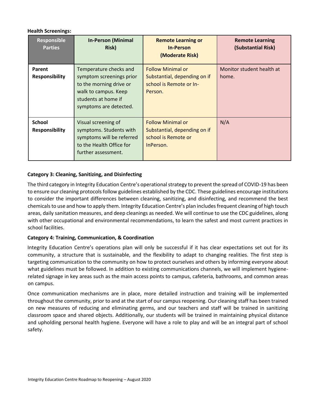# **Health Screenings:**

| <b>Responsible</b><br><b>Parties</b>   | <b>In-Person (Minimal</b><br>Risk)                                                                                                                     | <b>Remote Learning or</b><br><b>In-Person</b><br>(Moderate Risk)                               | <b>Remote Learning</b><br>(Substantial Risk) |
|----------------------------------------|--------------------------------------------------------------------------------------------------------------------------------------------------------|------------------------------------------------------------------------------------------------|----------------------------------------------|
| Parent<br><b>Responsibility</b>        | Temperature checks and<br>symptom screenings prior<br>to the morning drive or<br>walk to campus. Keep<br>students at home if<br>symptoms are detected. | <b>Follow Minimal or</b><br>Substantial, depending on if<br>school is Remote or In-<br>Person. | Monitor student health at<br>home.           |
| <b>School</b><br><b>Responsibility</b> | Visual screening of<br>symptoms. Students with<br>symptoms will be referred<br>to the Health Office for<br>further assessment.                         | <b>Follow Minimal or</b><br>Substantial, depending on if<br>school is Remote or<br>InPerson.   | N/A                                          |

# **Category 3: Cleaning, Sanitizing, and Disinfecting**

The third category in Integrity Education Centre's operational strategy to prevent the spread of COVID-19 has been to ensure our cleaning protocols follow guidelines established by the CDC. These guidelines encourage institutions to consider the important differences between cleaning, sanitizing, and disinfecting, and recommend the best chemicals to use and how to apply them. Integrity Education Centre's plan includes frequent cleaning of high touch areas, daily sanitation measures, and deep cleanings as needed. We will continue to use the CDC guidelines, along with other occupational and environmental recommendations, to learn the safest and most current practices in school facilities.

# **Category 4: Training, Communication, & Coordination**

Integrity Education Centre's operations plan will only be successful if it has clear expectations set out for its community, a structure that is sustainable, and the flexibility to adapt to changing realities. The first step is targeting communication to the community on how to protect ourselves and others by informing everyone about what guidelines must be followed. In addition to existing communications channels, we will implement hygienerelated signage in key areas such as the main access points to campus, cafeteria, bathrooms, and common areas on campus.

Once communication mechanisms are in place, more detailed instruction and training will be implemented throughout the community, prior to and at the start of our campus reopening. Our cleaning staff has been trained on new measures of reducing and eliminating germs, and our teachers and staff will be trained in sanitizing classroom space and shared objects. Additionally, our students will be trained in maintaining physical distance and upholding personal health hygiene. Everyone will have a role to play and will be an integral part of school safety.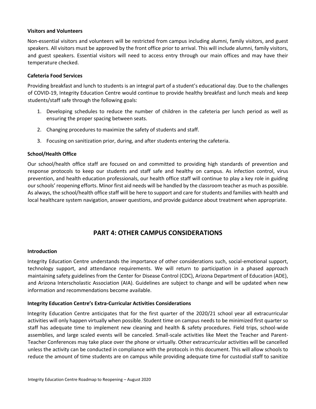## **Visitors and Volunteers**

Non-essential visitors and volunteers will be restricted from campus including alumni, family visitors, and guest speakers. All visitors must be approved by the front office prior to arrival. This will include alumni, family visitors, and guest speakers. Essential visitors will need to access entry through our main offices and may have their temperature checked.

## **Cafeteria Food Services**

Providing breakfast and lunch to students is an integral part of a student's educational day. Due to the challenges of COVID-19, Integrity Education Centre would continue to provide healthy breakfast and lunch meals and keep students/staff safe through the following goals:

- 1. Developing schedules to reduce the number of children in the cafeteria per lunch period as well as ensuring the proper spacing between seats.
- 2. Changing procedures to maximize the safety of students and staff.
- 3. Focusing on sanitization prior, during, and after students entering the cafeteria.

## **School/Health Office**

Our school/health office staff are focused on and committed to providing high standards of prevention and response protocols to keep our students and staff safe and healthy on campus. As infection control, virus prevention, and health education professionals, our health office staff will continue to play a key role in guiding our schools' reopening efforts. Minor first aid needs will be handled by the classroom teacher as much as possible. As always, the school/health office staff will be here to support and care for students and families with health and local healthcare system navigation, answer questions, and provide guidance about treatment when appropriate.

# **PART 4: OTHER CAMPUS CONSIDERATIONS**

#### **Introduction**

Integrity Education Centre understands the importance of other considerations such, social-emotional support, technology support, and attendance requirements. We will return to participation in a phased approach maintaining safety guidelines from the Center for Disease Control (CDC), Arizona Department of Education (ADE), and Arizona Interscholastic Association (AIA). Guidelines are subject to change and will be updated when new information and recommendations become available.

# **Integrity Education Centre's Extra-Curricular Activities Considerations**

Integrity Education Centre anticipates that for the first quarter of the 2020/21 school year all extracurricular activities will only happen virtually when possible. Student time on campus needs to be minimized first quarter so staff has adequate time to implement new cleaning and health & safety procedures. Field trips, school-wide assemblies, and large scaled events will be canceled. Small-scale activities like Meet the Teacher and Parent-Teacher Conferences may take place over the phone or virtually. Other extracurricular activities will be cancelled unless the activity can be conducted in compliance with the protocols in this document. This will allow schools to reduce the amount of time students are on campus while providing adequate time for custodial staff to sanitize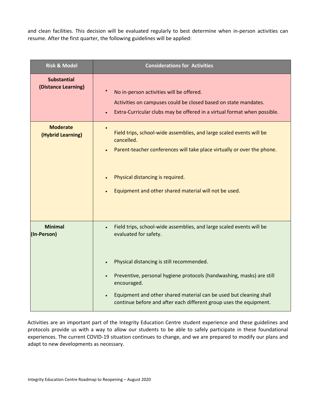and clean facilities. This decision will be evaluated regularly to best determine when in-person activities can resume. After the first quarter, the following guidelines will be applied:

| <b>Risk &amp; Model</b>                   | <b>Considerations for Activities</b>                                                                                                                                                                                                                                                                                                                                           |
|-------------------------------------------|--------------------------------------------------------------------------------------------------------------------------------------------------------------------------------------------------------------------------------------------------------------------------------------------------------------------------------------------------------------------------------|
| <b>Substantial</b><br>(Distance Learning) | No in-person activities will be offered.<br>Activities on campuses could be closed based on state mandates.<br>Extra-Curricular clubs may be offered in a virtual format when possible.                                                                                                                                                                                        |
| <b>Moderate</b><br>(Hybrid Learning)      | Field trips, school-wide assemblies, and large scaled events will be<br>cancelled.<br>Parent-teacher conferences will take place virtually or over the phone.<br>Physical distancing is required.<br>Equipment and other shared material will not be used.                                                                                                                     |
| <b>Minimal</b><br>(In-Person)             | Field trips, school-wide assemblies, and large scaled events will be<br>evaluated for safety.<br>Physical distancing is still recommended.<br>Preventive, personal hygiene protocols (handwashing, masks) are still<br>encouraged.<br>Equipment and other shared material can be used but cleaning shall<br>continue before and after each different group uses the equipment. |

Activities are an important part of the Integrity Education Centre student experience and these guidelines and protocols provide us with a way to allow our students to be able to safely participate in these foundational experiences. The current COVID-19 situation continues to change, and we are prepared to modify our plans and adapt to new developments as necessary.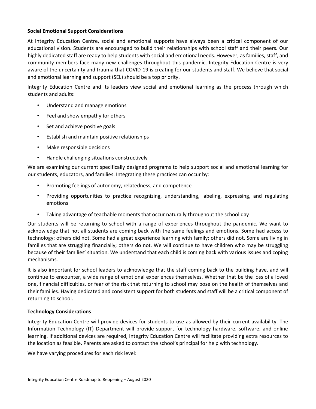# **Social Emotional Support Considerations**

At Integrity Education Centre, social and emotional supports have always been a critical component of our educational vision. Students are encouraged to build their relationships with school staff and their peers. Our highly dedicated staff are ready to help students with social and emotional needs. However, as families, staff, and community members face many new challenges throughout this pandemic, Integrity Education Centre is very aware of the uncertainty and trauma that COVID-19 is creating for our students and staff. We believe that social and emotional learning and support (SEL) should be a top priority.

Integrity Education Centre and its leaders view social and emotional learning as the process through which students and adults:

- Understand and manage emotions
- Feel and show empathy for others
- Set and achieve positive goals
- Establish and maintain positive relationships
- Make responsible decisions
- Handle challenging situations constructively

We are examining our current specifically designed programs to help support social and emotional learning for our students, educators, and families. Integrating these practices can occur by:

- Promoting feelings of autonomy, relatedness, and competence
- Providing opportunities to practice recognizing, understanding, labeling, expressing, and regulating emotions
- Taking advantage of teachable moments that occur naturally throughout the school day

Our students will be returning to school with a range of experiences throughout the pandemic. We want to acknowledge that not all students are coming back with the same feelings and emotions. Some had access to technology: others did not. Some had a great experience learning with family; others did not. Some are living in families that are struggling financially; others do not. We will continue to have children who may be struggling because of their families' situation. We understand that each child is coming back with various issues and coping mechanisms.

It is also important for school leaders to acknowledge that the staff coming back to the building have, and will continue to encounter, a wide range of emotional experiences themselves. Whether that be the loss of a loved one, financial difficulties, or fear of the risk that returning to school may pose on the health of themselves and their families. Having dedicated and consistent support for both students and staff will be a critical component of returning to school.

# **Technology Considerations**

Integrity Education Centre will provide devices for students to use as allowed by their current availability. The Information Technology (IT) Department will provide support for technology hardware, software, and online learning. If additional devices are required, Integrity Education Centre will facilitate providing extra resources to the location as feasible. Parents are asked to contact the school's principal for help with technology.

We have varying procedures for each risk level: